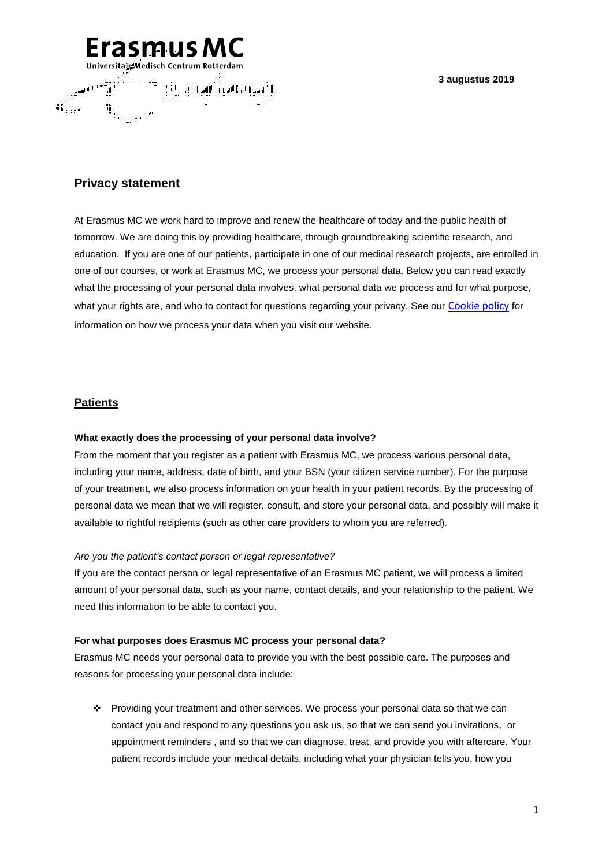### **3 augustus 2019**



# **Privacy statement**

At Erasmus MC we work hard to improve and renew the healthcare of today and the public health of tomorrow. We are doing this by providing healthcare, through groundbreaking scientific research, and education. If you are one of our patients, participate in one of our medical research projects, are enrolled in one of our courses, or work at Erasmus MC, we process your personal data. Below you can read exactly what the processing of your personal data involves, what personal data we process and for what purpose, what your rights are, and who to contact for questions regarding your privacy. See our [Cookie policy](https://www6.erasmusmc.nl/footercontent/cookies/?reason=404) for information on how we process your data when you visit our website.

# **Patients**

### **What exactly does the processing of your personal data involve?**

From the moment that you register as a patient with Erasmus MC, we process various personal data, including your name, address, date of birth, and your BSN (your citizen service number). For the purpose of your treatment, we also process information on your health in your patient records. By the processing of personal data we mean that we will register, consult, and store your personal data, and possibly will make it available to rightful recipients (such as other care providers to whom you are referred).

### *Are you the patient's contact person or legal representative?*

If you are the contact person or legal representative of an Erasmus MC patient, we will process a limited amount of your personal data, such as your name, contact details, and your relationship to the patient. We need this information to be able to contact you.

### **For what purposes does Erasmus MC process your personal data?**

Erasmus MC needs your personal data to provide you with the best possible care. The purposes and reasons for processing your personal data include:

 Providing your treatment and other services. We process your personal data so that we can contact you and respond to any questions you ask us, so that we can send you invitations, or appointment reminders , and so that we can diagnose, treat, and provide you with aftercare. Your patient records include your medical details, including what your physician tells you, how you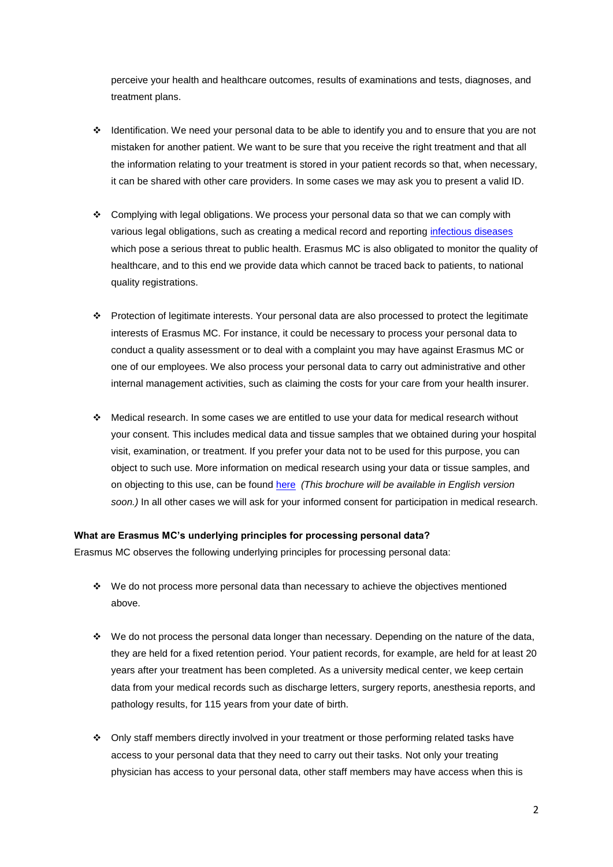perceive your health and healthcare outcomes, results of examinations and tests, diagnoses, and treatment plans.

- Identification. We need your personal data to be able to identify you and to ensure that you are not mistaken for another patient. We want to be sure that you receive the right treatment and that all the information relating to your treatment is stored in your patient records so that, when necessary, it can be shared with other care providers. In some cases we may ask you to present a valid ID.
- Complying with legal obligations. We process your personal data so that we can comply with various legal obligations, such as creating a medical record and reporting [infectious diseases](https://www.rivm.nl/meldingsplicht-infectieziekten) which pose a serious threat to public health. Erasmus MC is also obligated to monitor the quality of healthcare, and to this end we provide data which cannot be traced back to patients, to national quality registrations.
- Protection of legitimate interests. Your personal data are also processed to protect the legitimate interests of Erasmus MC. For instance, it could be necessary to process your personal data to conduct a quality assessment or to deal with a complaint you may have against Erasmus MC or one of our employees. We also process your personal data to carry out administrative and other internal management activities, such as claiming the costs for your care from your health insurer.
- Medical research. In some cases we are entitled to use your data for medical research without your consent. This includes medical data and tissue samples that we obtained during your hospital visit, examination, or treatment. If you prefer your data not to be used for this purpose, you can object to such use. More information on medical research using your data or tissue samples, and on objecting to this use, can be found [here](https://patientenfolders.erasmusmc.nl/folders/rechten_en_plichten) *(This brochure will be available in English version soon.)* In all other cases we will ask for your informed consent for participation in medical research.

### **What are Erasmus MC's underlying principles for processing personal data?**

Erasmus MC observes the following underlying principles for processing personal data:

- $\cdot \cdot$  We do not process more personal data than necessary to achieve the objectives mentioned above.
- We do not process the personal data longer than necessary. Depending on the nature of the data, they are held for a fixed retention period. Your patient records, for example, are held for at least 20 years after your treatment has been completed. As a university medical center, we keep certain data from your medical records such as discharge letters, surgery reports, anesthesia reports, and pathology results, for 115 years from your date of birth.
- Only staff members directly involved in your treatment or those performing related tasks have access to your personal data that they need to carry out their tasks. Not only your treating physician has access to your personal data, other staff members may have access when this is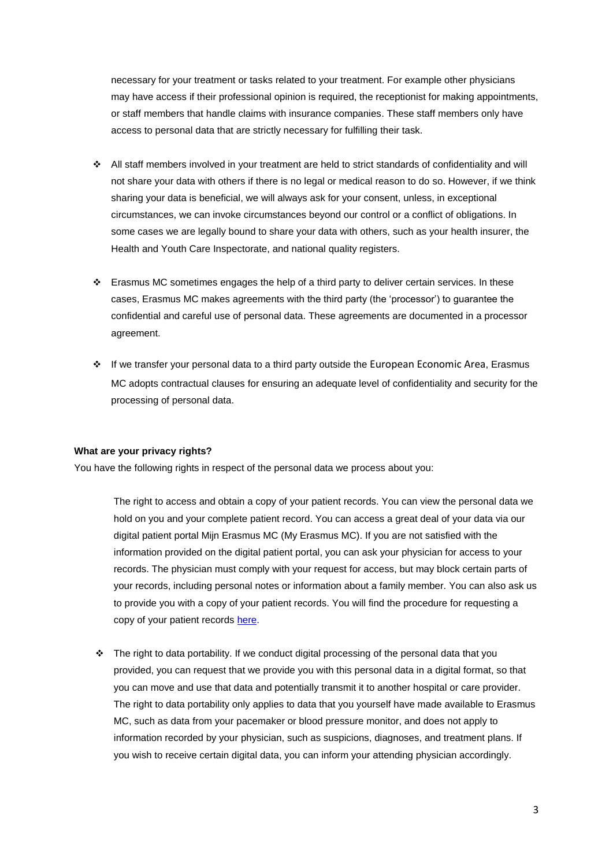necessary for your treatment or tasks related to your treatment. For example other physicians may have access if their professional opinion is required, the receptionist for making appointments, or staff members that handle claims with insurance companies. These staff members only have access to personal data that are strictly necessary for fulfilling their task.

- All staff members involved in your treatment are held to strict standards of confidentiality and will not share your data with others if there is no legal or medical reason to do so. However, if we think sharing your data is beneficial, we will always ask for your consent, unless, in exceptional circumstances, we can invoke circumstances beyond our control or a conflict of obligations. In some cases we are legally bound to share your data with others, such as your health insurer, the Health and Youth Care Inspectorate, and national quality registers.
- $\cdot \cdot$  Erasmus MC sometimes engages the help of a third party to deliver certain services. In these cases, Erasmus MC makes agreements with the third party (the 'processor') to guarantee the confidential and careful use of personal data. These agreements are documented in a processor agreement.
- If we transfer your personal data to a third party outside the European Economic Area, Erasmus MC adopts contractual clauses for ensuring an adequate level of confidentiality and security for the processing of personal data.

#### **What are your privacy rights?**

You have the following rights in respect of the personal data we process about you:

The right to access and obtain a copy of your patient records. You can view the personal data we hold on you and your complete patient record. You can access a great deal of your data via our digital patient portal Mijn Erasmus MC (My Erasmus MC). If you are not satisfied with the information provided on the digital patient portal, you can ask your physician for access to your records. The physician must comply with your request for access, but may block certain parts of your records, including personal notes or information about a family member. You can also ask us to provide you with a copy of your patient records. You will find the procedure for requesting a copy of your patient records [here.](https://www.erasmusmc.nl/en/patient-care/requesting-medical-records)

 $\cdot \cdot$  The right to data portability. If we conduct digital processing of the personal data that you provided, you can request that we provide you with this personal data in a digital format, so that you can move and use that data and potentially transmit it to another hospital or care provider. The right to data portability only applies to data that you yourself have made available to Erasmus MC, such as data from your pacemaker or blood pressure monitor, and does not apply to information recorded by your physician, such as suspicions, diagnoses, and treatment plans. If you wish to receive certain digital data, you can inform your attending physician accordingly.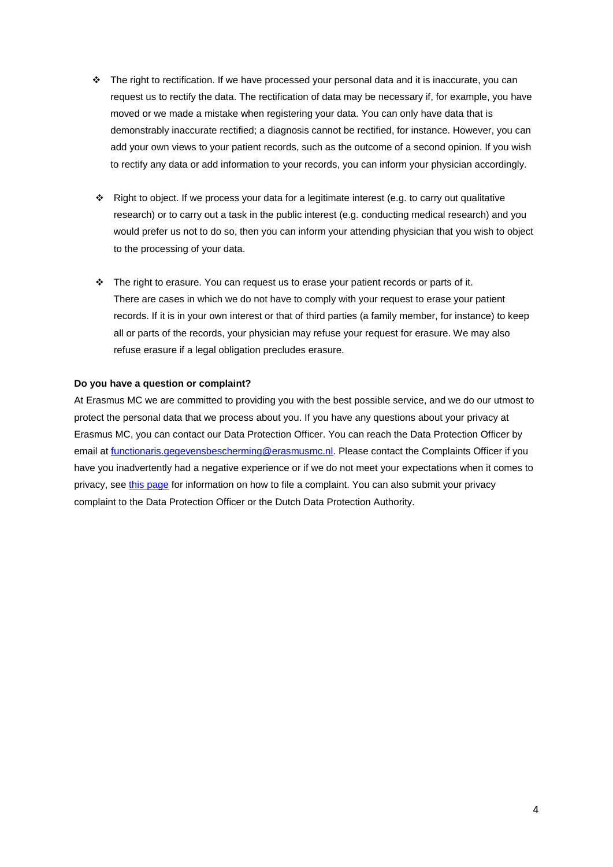- \* The right to rectification. If we have processed your personal data and it is inaccurate, you can request us to rectify the data. The rectification of data may be necessary if, for example, you have moved or we made a mistake when registering your data. You can only have data that is demonstrably inaccurate rectified; a diagnosis cannot be rectified, for instance. However, you can add your own views to your patient records, such as the outcome of a second opinion. If you wish to rectify any data or add information to your records, you can inform your physician accordingly.
- Right to object. If we process your data for a legitimate interest (e.g. to carry out qualitative research) or to carry out a task in the public interest (e.g. conducting medical research) and you would prefer us not to do so, then you can inform your attending physician that you wish to object to the processing of your data.
- $\cdot \cdot$  The right to erasure. You can request us to erase your patient records or parts of it. There are cases in which we do not have to comply with your request to erase your patient records. If it is in your own interest or that of third parties (a family member, for instance) to keep all or parts of the records, your physician may refuse your request for erasure. We may also refuse erasure if a legal obligation precludes erasure.

### **Do you have a question or complaint?**

At Erasmus MC we are committed to providing you with the best possible service, and we do our utmost to protect the personal data that we process about you. If you have any questions about your privacy at Erasmus MC, you can contact our Data Protection Officer. You can reach the Data Protection Officer by email at [functionaris.gegevensbescherming@erasmusmc.nl.](mailto:functionaris.gegevensbescherming@erasmusmc.nl) Please contact the Complaints Officer if you have you inadvertently had a negative experience or if we do not meet your expectations when it comes to privacy, see [this page](https://patientenfolders.erasmusmc.nl/folders/klachtenopvang) for information on how to file a complaint. You can also submit your privacy complaint to the Data Protection Officer or the Dutch Data Protection Authority.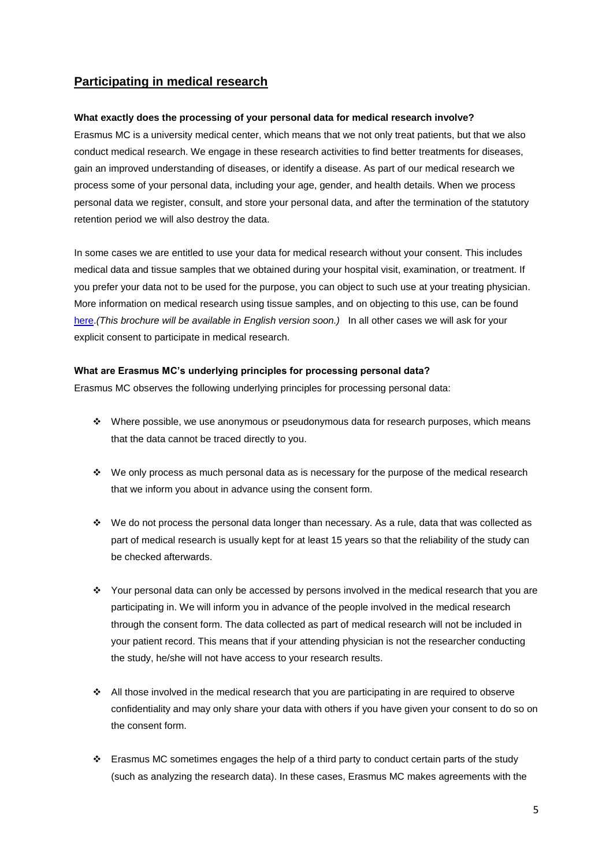# **Participating in medical research**

### **What exactly does the processing of your personal data for medical research involve?**

Erasmus MC is a university medical center, which means that we not only treat patients, but that we also conduct medical research. We engage in these research activities to find better treatments for diseases, gain an improved understanding of diseases, or identify a disease. As part of our medical research we process some of your personal data, including your age, gender, and health details. When we process personal data we register, consult, and store your personal data, and after the termination of the statutory retention period we will also destroy the data.

In some cases we are entitled to use your data for medical research without your consent. This includes medical data and tissue samples that we obtained during your hospital visit, examination, or treatment. If you prefer your data not to be used for the purpose, you can object to such use at your treating physician. More information on medical research using tissue samples, and on objecting to this use, can be found [here.](https://patientenfolders.erasmusmc.nl/folders/rechten_en_plichten)*(This brochure will be available in English version soon.)* In all other cases we will ask for your explicit consent to participate in medical research.

## **What are Erasmus MC's underlying principles for processing personal data?**

Erasmus MC observes the following underlying principles for processing personal data:

- $\cdot \cdot$  Where possible, we use anonymous or pseudonymous data for research purposes, which means that the data cannot be traced directly to you.
- \* We only process as much personal data as is necessary for the purpose of the medical research that we inform you about in advance using the consent form.
- We do not process the personal data longer than necessary. As a rule, data that was collected as part of medical research is usually kept for at least 15 years so that the reliability of the study can be checked afterwards.
- Your personal data can only be accessed by persons involved in the medical research that you are participating in. We will inform you in advance of the people involved in the medical research through the consent form. The data collected as part of medical research will not be included in your patient record. This means that if your attending physician is not the researcher conducting the study, he/she will not have access to your research results.
- All those involved in the medical research that you are participating in are required to observe confidentiality and may only share your data with others if you have given your consent to do so on the consent form.
- \* Erasmus MC sometimes engages the help of a third party to conduct certain parts of the study (such as analyzing the research data). In these cases, Erasmus MC makes agreements with the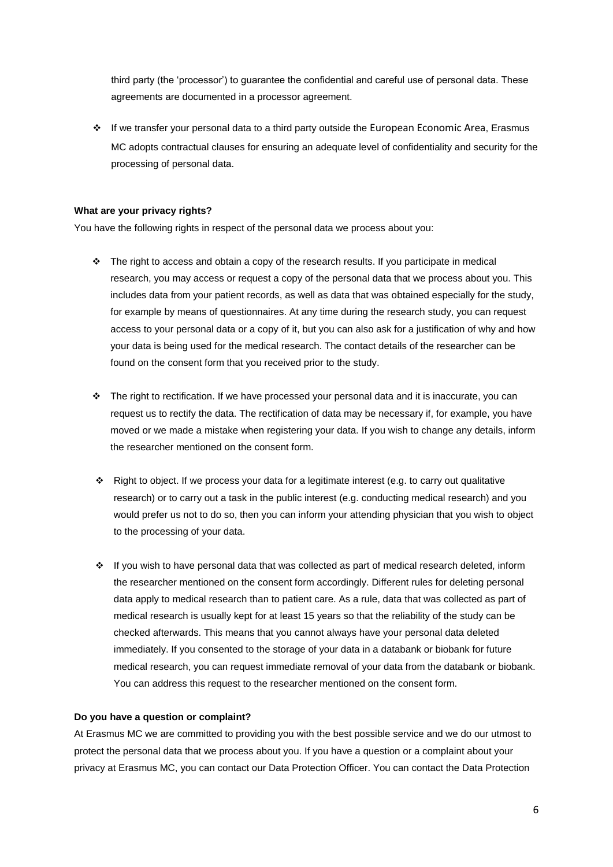third party (the 'processor') to guarantee the confidential and careful use of personal data. These agreements are documented in a processor agreement.

 If we transfer your personal data to a third party outside the European Economic Area, Erasmus MC adopts contractual clauses for ensuring an adequate level of confidentiality and security for the processing of personal data.

## **What are your privacy rights?**

You have the following rights in respect of the personal data we process about you:

- $\cdot \cdot$  The right to access and obtain a copy of the research results. If you participate in medical research, you may access or request a copy of the personal data that we process about you. This includes data from your patient records, as well as data that was obtained especially for the study, for example by means of questionnaires. At any time during the research study, you can request access to your personal data or a copy of it, but you can also ask for a justification of why and how your data is being used for the medical research. The contact details of the researcher can be found on the consent form that you received prior to the study.
- \* The right to rectification. If we have processed your personal data and it is inaccurate, you can request us to rectify the data. The rectification of data may be necessary if, for example, you have moved or we made a mistake when registering your data. If you wish to change any details, inform the researcher mentioned on the consent form.
- Right to object. If we process your data for a legitimate interest (e.g. to carry out qualitative research) or to carry out a task in the public interest (e.g. conducting medical research) and you would prefer us not to do so, then you can inform your attending physician that you wish to object to the processing of your data.
- $\div$  If you wish to have personal data that was collected as part of medical research deleted, inform the researcher mentioned on the consent form accordingly. Different rules for deleting personal data apply to medical research than to patient care. As a rule, data that was collected as part of medical research is usually kept for at least 15 years so that the reliability of the study can be checked afterwards. This means that you cannot always have your personal data deleted immediately. If you consented to the storage of your data in a databank or biobank for future medical research, you can request immediate removal of your data from the databank or biobank. You can address this request to the researcher mentioned on the consent form.

### **Do you have a question or complaint?**

At Erasmus MC we are committed to providing you with the best possible service and we do our utmost to protect the personal data that we process about you. If you have a question or a complaint about your privacy at Erasmus MC, you can contact our Data Protection Officer. You can contact the Data Protection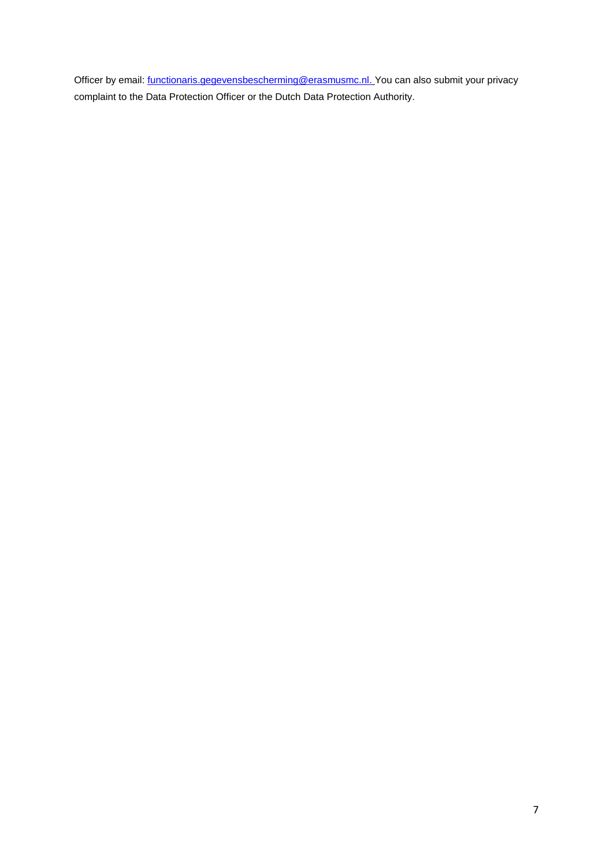Officer by email: *functionaris.gegevensbescherming@erasmusmc.nl.* You can also submit your privacy complaint to the Data Protection Officer or the Dutch Data Protection Authority.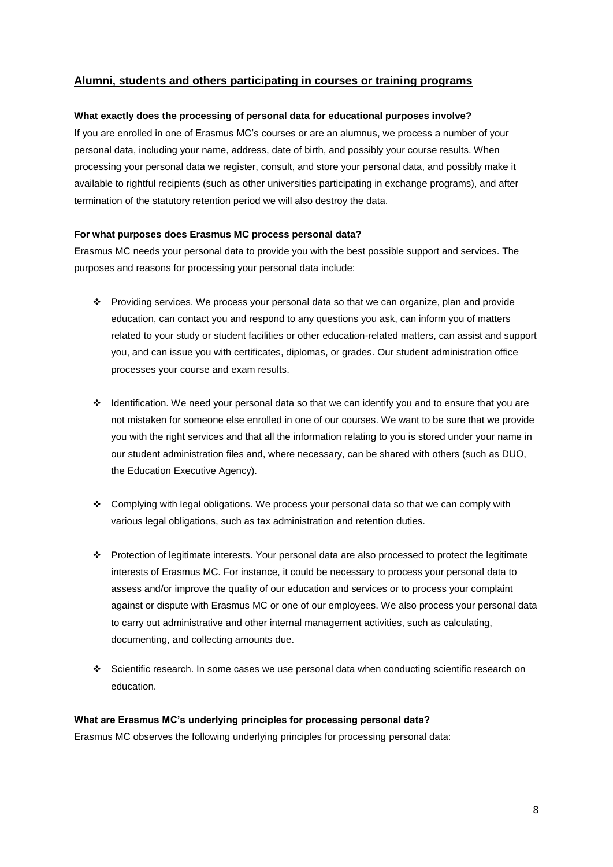# **Alumni, students and others participating in courses or training programs**

## **What exactly does the processing of personal data for educational purposes involve?**

If you are enrolled in one of Erasmus MC's courses or are an alumnus, we process a number of your personal data, including your name, address, date of birth, and possibly your course results. When processing your personal data we register, consult, and store your personal data, and possibly make it available to rightful recipients (such as other universities participating in exchange programs), and after termination of the statutory retention period we will also destroy the data.

## **For what purposes does Erasmus MC process personal data?**

Erasmus MC needs your personal data to provide you with the best possible support and services. The purposes and reasons for processing your personal data include:

- Providing services. We process your personal data so that we can organize, plan and provide education, can contact you and respond to any questions you ask, can inform you of matters related to your study or student facilities or other education-related matters, can assist and support you, and can issue you with certificates, diplomas, or grades. Our student administration office processes your course and exam results.
- $\cdot \cdot$  Identification. We need your personal data so that we can identify you and to ensure that you are not mistaken for someone else enrolled in one of our courses. We want to be sure that we provide you with the right services and that all the information relating to you is stored under your name in our student administration files and, where necessary, can be shared with others (such as DUO, the Education Executive Agency).
- Complying with legal obligations. We process your personal data so that we can comply with various legal obligations, such as tax administration and retention duties.
- Protection of legitimate interests. Your personal data are also processed to protect the legitimate interests of Erasmus MC. For instance, it could be necessary to process your personal data to assess and/or improve the quality of our education and services or to process your complaint against or dispute with Erasmus MC or one of our employees. We also process your personal data to carry out administrative and other internal management activities, such as calculating, documenting, and collecting amounts due.
- Scientific research. In some cases we use personal data when conducting scientific research on education.

# **What are Erasmus MC's underlying principles for processing personal data?**

Erasmus MC observes the following underlying principles for processing personal data: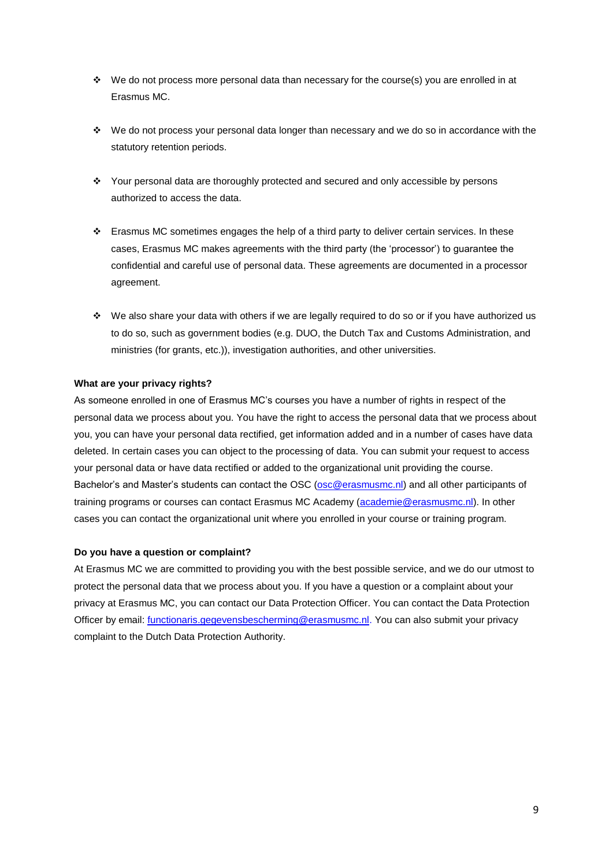- $\cdot \cdot$  We do not process more personal data than necessary for the course(s) you are enrolled in at Erasmus MC.
- $\cdot \cdot$  We do not process your personal data longer than necessary and we do so in accordance with the statutory retention periods.
- Your personal data are thoroughly protected and secured and only accessible by persons authorized to access the data.
- $\cdot \cdot$  Erasmus MC sometimes engages the help of a third party to deliver certain services. In these cases, Erasmus MC makes agreements with the third party (the 'processor') to guarantee the confidential and careful use of personal data. These agreements are documented in a processor agreement.
- We also share your data with others if we are legally required to do so or if you have authorized us to do so, such as government bodies (e.g. DUO, the Dutch Tax and Customs Administration, and ministries (for grants, etc.)), investigation authorities, and other universities.

## **What are your privacy rights?**

As someone enrolled in one of Erasmus MC's courses you have a number of rights in respect of the personal data we process about you. You have the right to access the personal data that we process about you, you can have your personal data rectified, get information added and in a number of cases have data deleted. In certain cases you can object to the processing of data. You can submit your request to access your personal data or have data rectified or added to the organizational unit providing the course. Bachelor's and Master's students can contact the OSC [\(osc@erasmusmc.nl\)](mailto:osc@erasmusmc.nl) and all other participants of training programs or courses can contact Erasmus MC Academy [\(academie@erasmusmc.nl\)](mailto:mobile@erasmusmc.nl). In other cases you can contact the organizational unit where you enrolled in your course or training program.

### **Do you have a question or complaint?**

At Erasmus MC we are committed to providing you with the best possible service, and we do our utmost to protect the personal data that we process about you. If you have a question or a complaint about your privacy at Erasmus MC, you can contact our Data Protection Officer. You can contact the Data Protection Officer by email: *functionaris.gegevensbescherming@erasmusmc.nl*. You can also submit your privacy complaint to the Dutch Data Protection Authority.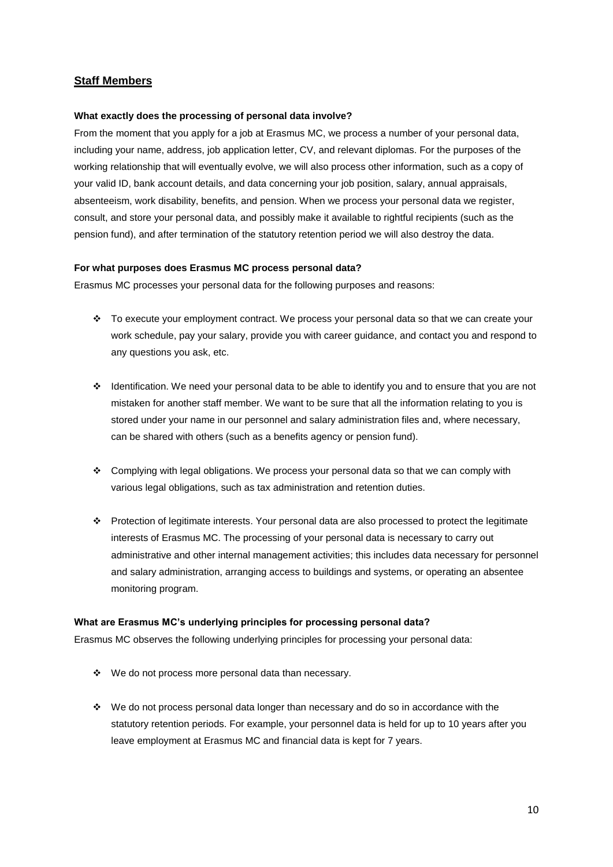# **Staff Members**

### **What exactly does the processing of personal data involve?**

From the moment that you apply for a job at Erasmus MC, we process a number of your personal data, including your name, address, job application letter, CV, and relevant diplomas. For the purposes of the working relationship that will eventually evolve, we will also process other information, such as a copy of your valid ID, bank account details, and data concerning your job position, salary, annual appraisals, absenteeism, work disability, benefits, and pension. When we process your personal data we register, consult, and store your personal data, and possibly make it available to rightful recipients (such as the pension fund), and after termination of the statutory retention period we will also destroy the data.

#### **For what purposes does Erasmus MC process personal data?**

Erasmus MC processes your personal data for the following purposes and reasons:

- \* To execute your employment contract. We process your personal data so that we can create your work schedule, pay your salary, provide you with career guidance, and contact you and respond to any questions you ask, etc.
- Identification. We need your personal data to be able to identify you and to ensure that you are not mistaken for another staff member. We want to be sure that all the information relating to you is stored under your name in our personnel and salary administration files and, where necessary, can be shared with others (such as a benefits agency or pension fund).
- Complying with legal obligations. We process your personal data so that we can comply with various legal obligations, such as tax administration and retention duties.
- \* Protection of legitimate interests. Your personal data are also processed to protect the legitimate interests of Erasmus MC. The processing of your personal data is necessary to carry out administrative and other internal management activities; this includes data necessary for personnel and salary administration, arranging access to buildings and systems, or operating an absentee monitoring program.

### **What are Erasmus MC's underlying principles for processing personal data?**

Erasmus MC observes the following underlying principles for processing your personal data:

- We do not process more personal data than necessary.
- $\cdot \cdot$  We do not process personal data longer than necessary and do so in accordance with the statutory retention periods. For example, your personnel data is held for up to 10 years after you leave employment at Erasmus MC and financial data is kept for 7 years.